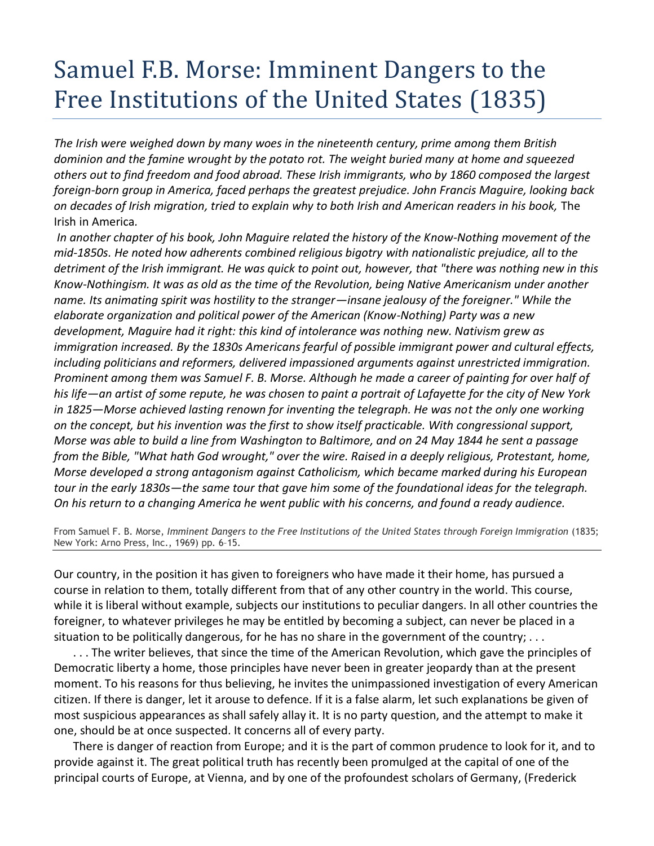## Samuel F.B. Morse: Imminent Dangers to the Free Institutions of the United States (1835)

*The Irish were weighed down by many woes in the nineteenth century, prime among them British dominion and the famine wrought by the potato rot. The weight buried many at home and squeezed others out to find freedom and food abroad. These Irish immigrants, who by 1860 composed the largest foreign-born group in America, faced perhaps the greatest prejudice. John Francis Maguire, looking back on decades of Irish migration, tried to explain why to both Irish and American readers in his book,* The Irish in America*.*

*In another chapter of his book, John Maguire related the history of the Know-Nothing movement of the mid-1850s. He noted how adherents combined religious bigotry with nationalistic prejudice, all to the detriment of the Irish immigrant. He was quick to point out, however, that "there was nothing new in this Know-Nothingism. It was as old as the time of the Revolution, being Native Americanism under another name. Its animating spirit was hostility to the stranger—insane jealousy of the foreigner." While the elaborate organization and political power of the American (Know-Nothing) Party was a new development, Maguire had it right: this kind of intolerance was nothing new. Nativism grew as immigration increased. By the 1830s Americans fearful of possible immigrant power and cultural effects, including politicians and reformers, delivered impassioned arguments against unrestricted immigration. Prominent among them was Samuel F. B. Morse. Although he made a career of painting for over half of his life—an artist of some repute, he was chosen to paint a portrait of Lafayette for the city of New York in 1825—Morse achieved lasting renown for inventing the telegraph. He was not the only one working on the concept, but his invention was the first to show itself practicable. With congressional support, Morse was able to build a line from Washington to Baltimore, and on 24 May 1844 he sent a passage from the Bible, "What hath God wrought," over the wire. Raised in a deeply religious, Protestant, home, Morse developed a strong antagonism against Catholicism, which became marked during his European tour in the early 1830s—the same tour that gave him some of the foundational ideas for the telegraph. On his return to a changing America he went public with his concerns, and found a ready audience.*

From Samuel F. B. Morse, *Imminent Dangers to the Free Institutions of the United States through Foreign Immigration* (1835; New York: Arno Press, Inc., 1969) pp. 6–15.

Our country, in the position it has given to foreigners who have made it their home, has pursued a course in relation to them, totally different from that of any other country in the world. This course, while it is liberal without example, subjects our institutions to peculiar dangers. In all other countries the foreigner, to whatever privileges he may be entitled by becoming a subject, can never be placed in a situation to be politically dangerous, for he has no share in the government of the country; ...

. . . The writer believes, that since the time of the American Revolution, which gave the principles of Democratic liberty a home, those principles have never been in greater jeopardy than at the present moment. To his reasons for thus believing, he invites the unimpassioned investigation of every American citizen. If there is danger, let it arouse to defence. If it is a false alarm, let such explanations be given of most suspicious appearances as shall safely allay it. It is no party question, and the attempt to make it one, should be at once suspected. It concerns all of every party.

There is danger of reaction from Europe; and it is the part of common prudence to look for it, and to provide against it. The great political truth has recently been promulged at the capital of one of the principal courts of Europe, at Vienna, and by one of the profoundest scholars of Germany, (Frederick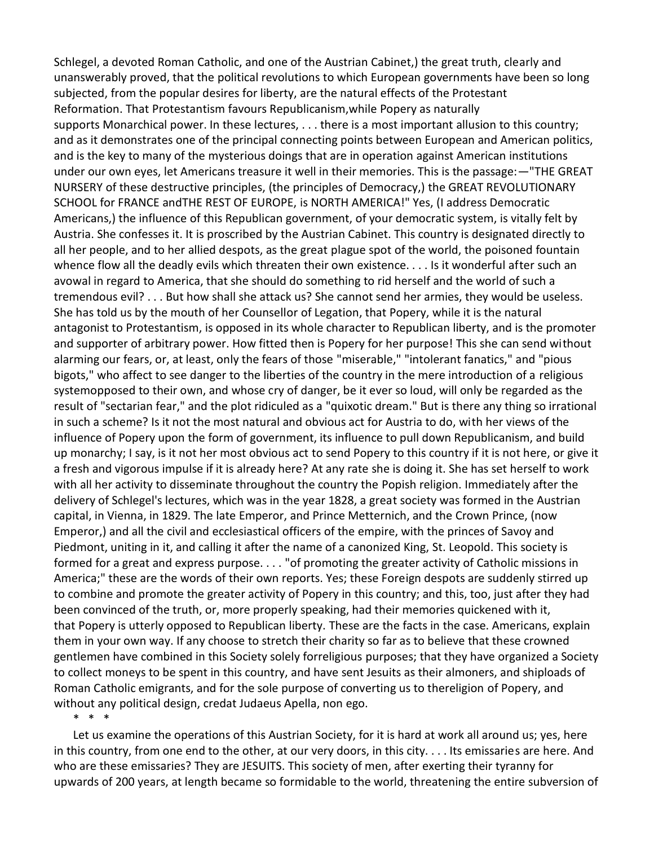Schlegel, a devoted Roman Catholic, and one of the Austrian Cabinet,) the great truth, clearly and unanswerably proved, that the political revolutions to which European governments have been so long subjected, from the popular desires for liberty, are the natural effects of the Protestant Reformation. That Protestantism favours Republicanism,while Popery as naturally supports Monarchical power. In these lectures, . . . there is a most important allusion to this country; and as it demonstrates one of the principal connecting points between European and American politics, and is the key to many of the mysterious doings that are in operation against American institutions under our own eyes, let Americans treasure it well in their memories. This is the passage:—"THE GREAT NURSERY of these destructive principles, (the principles of Democracy,) the GREAT REVOLUTIONARY SCHOOL for FRANCE andTHE REST OF EUROPE, is NORTH AMERICA!" Yes, (I address Democratic Americans,) the influence of this Republican government, of your democratic system, is vitally felt by Austria. She confesses it. It is proscribed by the Austrian Cabinet. This country is designated directly to all her people, and to her allied despots, as the great plague spot of the world, the poisoned fountain whence flow all the deadly evils which threaten their own existence. . . . Is it wonderful after such an avowal in regard to America, that she should do something to rid herself and the world of such a tremendous evil? . . . But how shall she attack us? She cannot send her armies, they would be useless. She has told us by the mouth of her Counsellor of Legation, that Popery, while it is the natural antagonist to Protestantism, is opposed in its whole character to Republican liberty, and is the promoter and supporter of arbitrary power. How fitted then is Popery for her purpose! This she can send without alarming our fears, or, at least, only the fears of those "miserable," "intolerant fanatics," and "pious bigots," who affect to see danger to the liberties of the country in the mere introduction of a religious systemopposed to their own, and whose cry of danger, be it ever so loud, will only be regarded as the result of "sectarian fear," and the plot ridiculed as a "quixotic dream." But is there any thing so irrational in such a scheme? Is it not the most natural and obvious act for Austria to do, with her views of the influence of Popery upon the form of government, its influence to pull down Republicanism, and build up monarchy; I say, is it not her most obvious act to send Popery to this country if it is not here, or give it a fresh and vigorous impulse if it is already here? At any rate she is doing it. She has set herself to work with all her activity to disseminate throughout the country the Popish religion. Immediately after the delivery of Schlegel's lectures, which was in the year 1828, a great society was formed in the Austrian capital, in Vienna, in 1829. The late Emperor, and Prince Metternich, and the Crown Prince, (now Emperor,) and all the civil and ecclesiastical officers of the empire, with the princes of Savoy and Piedmont, uniting in it, and calling it after the name of a canonized King, St. Leopold. This society is formed for a great and express purpose. . . . "of promoting the greater activity of Catholic missions in America;" these are the words of their own reports. Yes; these Foreign despots are suddenly stirred up to combine and promote the greater activity of Popery in this country; and this, too, just after they had been convinced of the truth, or, more properly speaking, had their memories quickened with it, that Popery is utterly opposed to Republican liberty. These are the facts in the case. Americans, explain them in your own way. If any choose to stretch their charity so far as to believe that these crowned gentlemen have combined in this Society solely forreligious purposes; that they have organized a Society to collect moneys to be spent in this country, and have sent Jesuits as their almoners, and shiploads of Roman Catholic emigrants, and for the sole purpose of converting us to thereligion of Popery, and without any political design, credat Judaeus Apella, non ego.

\* \* \*

Let us examine the operations of this Austrian Society, for it is hard at work all around us; yes, here in this country, from one end to the other, at our very doors, in this city. . . . Its emissaries are here. And who are these emissaries? They are JESUITS. This society of men, after exerting their tyranny for upwards of 200 years, at length became so formidable to the world, threatening the entire subversion of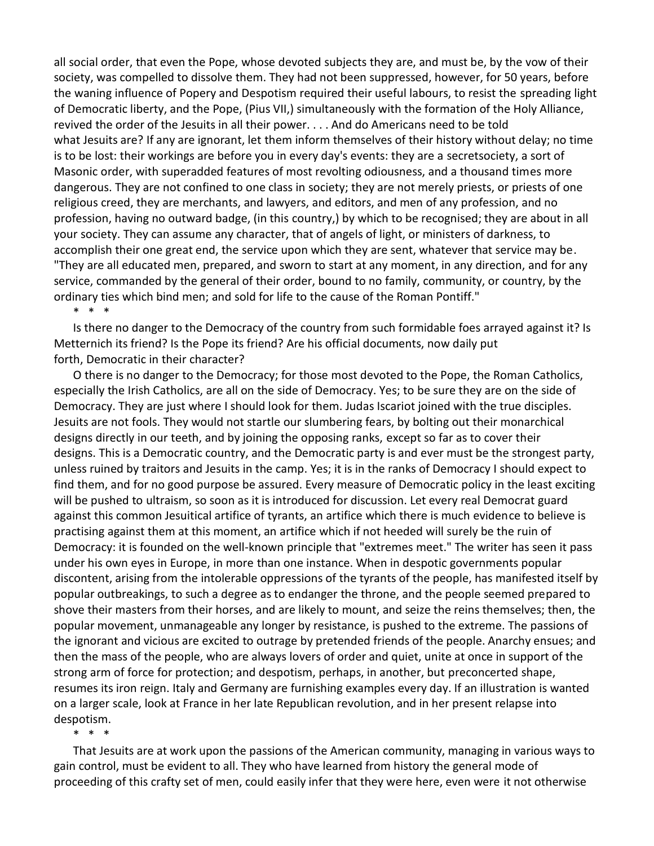all social order, that even the Pope, whose devoted subjects they are, and must be, by the vow of their society, was compelled to dissolve them. They had not been suppressed, however, for 50 years, before the waning influence of Popery and Despotism required their useful labours, to resist the spreading light of Democratic liberty, and the Pope, (Pius VII,) simultaneously with the formation of the Holy Alliance, revived the order of the Jesuits in all their power. . . . And do Americans need to be told what Jesuits are? If any are ignorant, let them inform themselves of their history without delay; no time is to be lost: their workings are before you in every day's events: they are a secretsociety, a sort of Masonic order, with superadded features of most revolting odiousness, and a thousand times more dangerous. They are not confined to one class in society; they are not merely priests, or priests of one religious creed, they are merchants, and lawyers, and editors, and men of any profession, and no profession, having no outward badge, (in this country,) by which to be recognised; they are about in all your society. They can assume any character, that of angels of light, or ministers of darkness, to accomplish their one great end, the service upon which they are sent, whatever that service may be. "They are all educated men, prepared, and sworn to start at any moment, in any direction, and for any service, commanded by the general of their order, bound to no family, community, or country, by the ordinary ties which bind men; and sold for life to the cause of the Roman Pontiff." \* \* \*

Is there no danger to the Democracy of the country from such formidable foes arrayed against it? Is Metternich its friend? Is the Pope its friend? Are his official documents, now daily put forth, Democratic in their character?

O there is no danger to the Democracy; for those most devoted to the Pope, the Roman Catholics, especially the Irish Catholics, are all on the side of Democracy. Yes; to be sure they are on the side of Democracy. They are just where I should look for them. Judas Iscariot joined with the true disciples. Jesuits are not fools. They would not startle our slumbering fears, by bolting out their monarchical designs directly in our teeth, and by joining the opposing ranks, except so far as to cover their designs. This is a Democratic country, and the Democratic party is and ever must be the strongest party, unless ruined by traitors and Jesuits in the camp. Yes; it is in the ranks of Democracy I should expect to find them, and for no good purpose be assured. Every measure of Democratic policy in the least exciting will be pushed to ultraism, so soon as it is introduced for discussion. Let every real Democrat guard against this common Jesuitical artifice of tyrants, an artifice which there is much evidence to believe is practising against them at this moment, an artifice which if not heeded will surely be the ruin of Democracy: it is founded on the well-known principle that "extremes meet." The writer has seen it pass under his own eyes in Europe, in more than one instance. When in despotic governments popular discontent, arising from the intolerable oppressions of the tyrants of the people, has manifested itself by popular outbreakings, to such a degree as to endanger the throne, and the people seemed prepared to shove their masters from their horses, and are likely to mount, and seize the reins themselves; then, the popular movement, unmanageable any longer by resistance, is pushed to the extreme. The passions of the ignorant and vicious are excited to outrage by pretended friends of the people. Anarchy ensues; and then the mass of the people, who are always lovers of order and quiet, unite at once in support of the strong arm of force for protection; and despotism, perhaps, in another, but preconcerted shape, resumes its iron reign. Italy and Germany are furnishing examples every day. If an illustration is wanted on a larger scale, look at France in her late Republican revolution, and in her present relapse into despotism.

\* \* \*

That Jesuits are at work upon the passions of the American community, managing in various ways to gain control, must be evident to all. They who have learned from history the general mode of proceeding of this crafty set of men, could easily infer that they were here, even were it not otherwise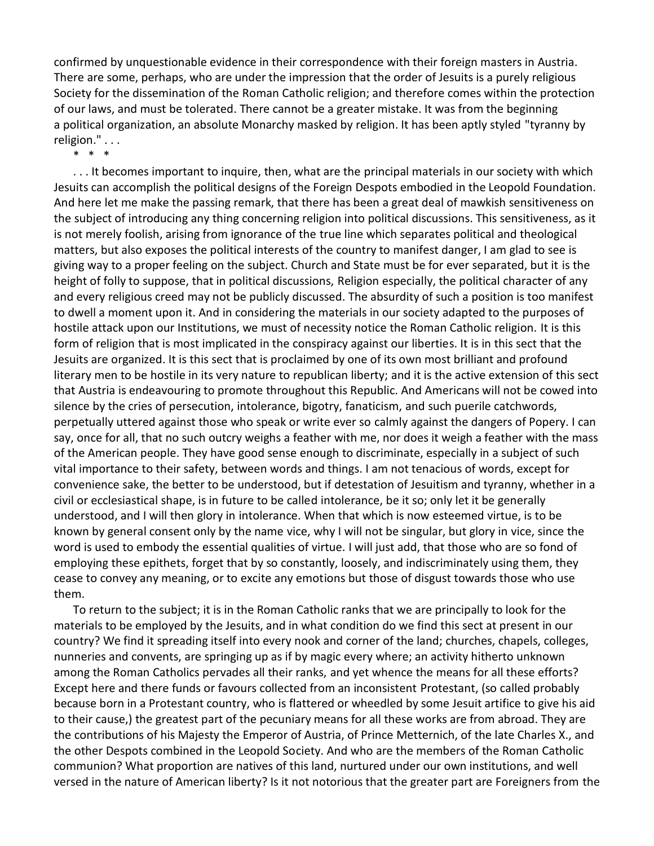confirmed by unquestionable evidence in their correspondence with their foreign masters in Austria. There are some, perhaps, who are under the impression that the order of Jesuits is a purely religious Society for the dissemination of the Roman Catholic religion; and therefore comes within the protection of our laws, and must be tolerated. There cannot be a greater mistake. It was from the beginning a political organization, an absolute Monarchy masked by religion. It has been aptly styled "tyranny by religion." . . .

\* \* \*

. . . It becomes important to inquire, then, what are the principal materials in our society with which Jesuits can accomplish the political designs of the Foreign Despots embodied in the Leopold Foundation. And here let me make the passing remark, that there has been a great deal of mawkish sensitiveness on the subject of introducing any thing concerning religion into political discussions. This sensitiveness, as it is not merely foolish, arising from ignorance of the true line which separates political and theological matters, but also exposes the political interests of the country to manifest danger, I am glad to see is giving way to a proper feeling on the subject. Church and State must be for ever separated, but it is the height of folly to suppose, that in political discussions, Religion especially, the political character of any and every religious creed may not be publicly discussed. The absurdity of such a position is too manifest to dwell a moment upon it. And in considering the materials in our society adapted to the purposes of hostile attack upon our Institutions, we must of necessity notice the Roman Catholic religion. It is this form of religion that is most implicated in the conspiracy against our liberties. It is in this sect that the Jesuits are organized. It is this sect that is proclaimed by one of its own most brilliant and profound literary men to be hostile in its very nature to republican liberty; and it is the active extension of this sect that Austria is endeavouring to promote throughout this Republic. And Americans will not be cowed into silence by the cries of persecution, intolerance, bigotry, fanaticism, and such puerile catchwords, perpetually uttered against those who speak or write ever so calmly against the dangers of Popery. I can say, once for all, that no such outcry weighs a feather with me, nor does it weigh a feather with the mass of the American people. They have good sense enough to discriminate, especially in a subject of such vital importance to their safety, between words and things. I am not tenacious of words, except for convenience sake, the better to be understood, but if detestation of Jesuitism and tyranny, whether in a civil or ecclesiastical shape, is in future to be called intolerance, be it so; only let it be generally understood, and I will then glory in intolerance. When that which is now esteemed virtue, is to be known by general consent only by the name vice, why I will not be singular, but glory in vice, since the word is used to embody the essential qualities of virtue. I will just add, that those who are so fond of employing these epithets, forget that by so constantly, loosely, and indiscriminately using them, they cease to convey any meaning, or to excite any emotions but those of disgust towards those who use them.

To return to the subject; it is in the Roman Catholic ranks that we are principally to look for the materials to be employed by the Jesuits, and in what condition do we find this sect at present in our country? We find it spreading itself into every nook and corner of the land; churches, chapels, colleges, nunneries and convents, are springing up as if by magic every where; an activity hitherto unknown among the Roman Catholics pervades all their ranks, and yet whence the means for all these efforts? Except here and there funds or favours collected from an inconsistent Protestant, (so called probably because born in a Protestant country, who is flattered or wheedled by some Jesuit artifice to give his aid to their cause,) the greatest part of the pecuniary means for all these works are from abroad. They are the contributions of his Majesty the Emperor of Austria, of Prince Metternich, of the late Charles X., and the other Despots combined in the Leopold Society. And who are the members of the Roman Catholic communion? What proportion are natives of this land, nurtured under our own institutions, and well versed in the nature of American liberty? Is it not notorious that the greater part are Foreigners from the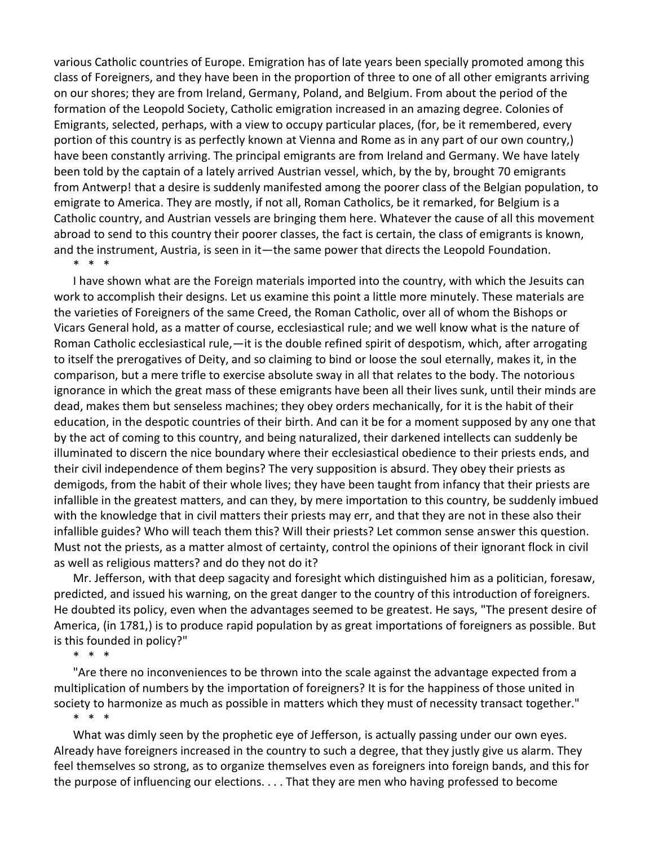various Catholic countries of Europe. Emigration has of late years been specially promoted among this class of Foreigners, and they have been in the proportion of three to one of all other emigrants arriving on our shores; they are from Ireland, Germany, Poland, and Belgium. From about the period of the formation of the Leopold Society, Catholic emigration increased in an amazing degree. Colonies of Emigrants, selected, perhaps, with a view to occupy particular places, (for, be it remembered, every portion of this country is as perfectly known at Vienna and Rome as in any part of our own country,) have been constantly arriving. The principal emigrants are from Ireland and Germany. We have lately been told by the captain of a lately arrived Austrian vessel, which, by the by, brought 70 emigrants from Antwerp! that a desire is suddenly manifested among the poorer class of the Belgian population, to emigrate to America. They are mostly, if not all, Roman Catholics, be it remarked, for Belgium is a Catholic country, and Austrian vessels are bringing them here. Whatever the cause of all this movement abroad to send to this country their poorer classes, the fact is certain, the class of emigrants is known, and the instrument, Austria, is seen in it—the same power that directs the Leopold Foundation. \* \* \*

I have shown what are the Foreign materials imported into the country, with which the Jesuits can work to accomplish their designs. Let us examine this point a little more minutely. These materials are the varieties of Foreigners of the same Creed, the Roman Catholic, over all of whom the Bishops or Vicars General hold, as a matter of course, ecclesiastical rule; and we well know what is the nature of Roman Catholic ecclesiastical rule,—it is the double refined spirit of despotism, which, after arrogating to itself the prerogatives of Deity, and so claiming to bind or loose the soul eternally, makes it, in the comparison, but a mere trifle to exercise absolute sway in all that relates to the body. The notorious ignorance in which the great mass of these emigrants have been all their lives sunk, until their minds are dead, makes them but senseless machines; they obey orders mechanically, for it is the habit of their education, in the despotic countries of their birth. And can it be for a moment supposed by any one that by the act of coming to this country, and being naturalized, their darkened intellects can suddenly be illuminated to discern the nice boundary where their ecclesiastical obedience to their priests ends, and their civil independence of them begins? The very supposition is absurd. They obey their priests as demigods, from the habit of their whole lives; they have been taught from infancy that their priests are infallible in the greatest matters, and can they, by mere importation to this country, be suddenly imbued with the knowledge that in civil matters their priests may err, and that they are not in these also their infallible guides? Who will teach them this? Will their priests? Let common sense answer this question. Must not the priests, as a matter almost of certainty, control the opinions of their ignorant flock in civil as well as religious matters? and do they not do it?

Mr. Jefferson, with that deep sagacity and foresight which distinguished him as a politician, foresaw, predicted, and issued his warning, on the great danger to the country of this introduction of foreigners. He doubted its policy, even when the advantages seemed to be greatest. He says, "The present desire of America, (in 1781,) is to produce rapid population by as great importations of foreigners as possible. But is this founded in policy?"

\* \* \*

"Are there no inconveniences to be thrown into the scale against the advantage expected from a multiplication of numbers by the importation of foreigners? It is for the happiness of those united in society to harmonize as much as possible in matters which they must of necessity transact together." \* \* \*

What was dimly seen by the prophetic eye of Jefferson, is actually passing under our own eyes. Already have foreigners increased in the country to such a degree, that they justly give us alarm. They feel themselves so strong, as to organize themselves even as foreigners into foreign bands, and this for the purpose of influencing our elections. . . . That they are men who having professed to become